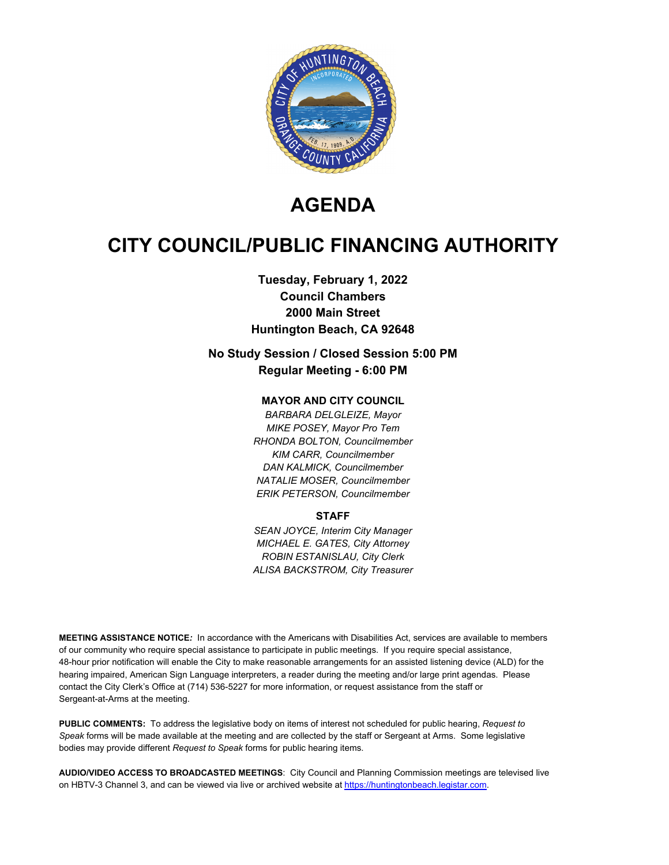

# **AGENDA**

# **CITY COUNCIL/PUBLIC FINANCING AUTHORITY**

## **Tuesday, February 1, 2022 Council Chambers 2000 Main Street Huntington Beach, CA 92648**

## **No Study Session / Closed Session 5:00 PM Regular Meeting - 6:00 PM**

#### **MAYOR AND CITY COUNCIL**

*BARBARA DELGLEIZE, Mayor MIKE POSEY, Mayor Pro Tem RHONDA BOLTON, Councilmember KIM CARR, Councilmember DAN KALMICK, Councilmember NATALIE MOSER, Councilmember ERIK PETERSON, Councilmember*

#### **STAFF**

*SEAN JOYCE, Interim City Manager MICHAEL E. GATES, City Attorney ROBIN ESTANISLAU, City Clerk ALISA BACKSTROM, City Treasurer*

**MEETING ASSISTANCE NOTICE***:* In accordance with the Americans with Disabilities Act, services are available to members of our community who require special assistance to participate in public meetings. If you require special assistance, 48-hour prior notification will enable the City to make reasonable arrangements for an assisted listening device (ALD) for the hearing impaired, American Sign Language interpreters, a reader during the meeting and/or large print agendas. Please contact the City Clerk's Office at (714) 536-5227 for more information, or request assistance from the staff or Sergeant-at-Arms at the meeting.

**PUBLIC COMMENTS:** To address the legislative body on items of interest not scheduled for public hearing, *Request to Speak* forms will be made available at the meeting and are collected by the staff or Sergeant at Arms. Some legislative bodies may provide different *Request to Speak* forms for public hearing items.

**AUDIO/VIDEO ACCESS TO BROADCASTED MEETINGS**: City Council and Planning Commission meetings are televised live on HBTV-3 Channel 3, and can be viewed via live or archived website at https://huntingtonbeach.legistar.com.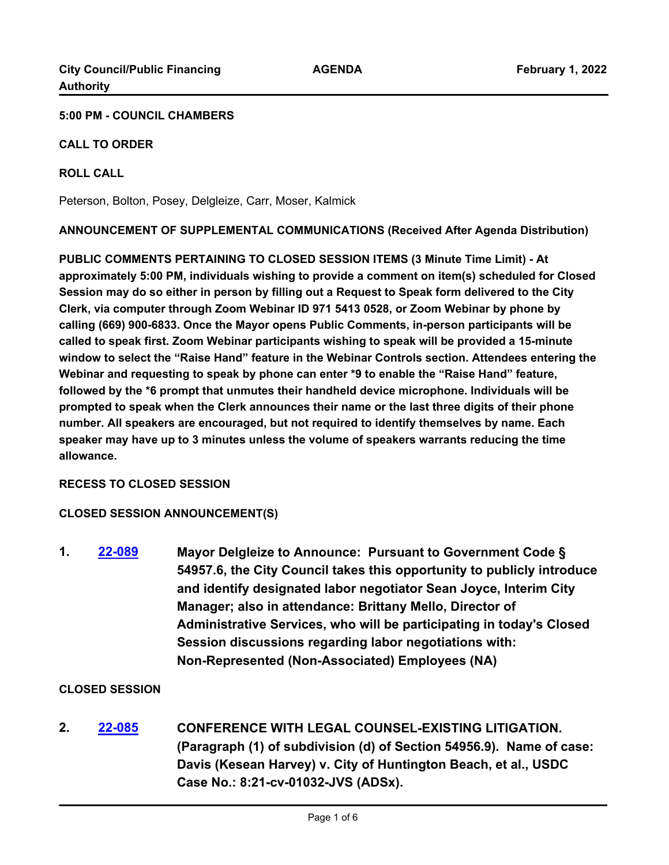#### **5:00 PM - COUNCIL CHAMBERS**

#### **CALL TO ORDER**

#### **ROLL CALL**

Peterson, Bolton, Posey, Delgleize, Carr, Moser, Kalmick

**ANNOUNCEMENT OF SUPPLEMENTAL COMMUNICATIONS (Received After Agenda Distribution)**

**PUBLIC COMMENTS PERTAINING TO CLOSED SESSION ITEMS (3 Minute Time Limit) - At approximately 5:00 PM, individuals wishing to provide a comment on item(s) scheduled for Closed Session may do so either in person by filling out a Request to Speak form delivered to the City Clerk, via computer through Zoom Webinar ID 971 5413 0528, or Zoom Webinar by phone by calling (669) 900-6833. Once the Mayor opens Public Comments, in-person participants will be called to speak first. Zoom Webinar participants wishing to speak will be provided a 15-minute window to select the "Raise Hand" feature in the Webinar Controls section. Attendees entering the Webinar and requesting to speak by phone can enter \*9 to enable the "Raise Hand" feature, followed by the \*6 prompt that unmutes their handheld device microphone. Individuals will be prompted to speak when the Clerk announces their name or the last three digits of their phone number. All speakers are encouraged, but not required to identify themselves by name. Each speaker may have up to 3 minutes unless the volume of speakers warrants reducing the time allowance.**

## **RECESS TO CLOSED SESSION**

## **CLOSED SESSION ANNOUNCEMENT(S)**

**1. [22-089](http://huntingtonbeach.legistar.com/gateway.aspx?m=l&id=/matter.aspx?key=5201) Mayor Delgleize to Announce: Pursuant to Government Code § 54957.6, the City Council takes this opportunity to publicly introduce and identify designated labor negotiator Sean Joyce, Interim City Manager; also in attendance: Brittany Mello, Director of Administrative Services, who will be participating in today's Closed Session discussions regarding labor negotiations with: Non-Represented (Non-Associated) Employees (NA)**

## **CLOSED SESSION**

**2. [22-085](http://huntingtonbeach.legistar.com/gateway.aspx?m=l&id=/matter.aspx?key=5197) CONFERENCE WITH LEGAL COUNSEL-EXISTING LITIGATION. (Paragraph (1) of subdivision (d) of Section 54956.9). Name of case: Davis (Kesean Harvey) v. City of Huntington Beach, et al., USDC Case No.: 8:21-cv-01032-JVS (ADSx).**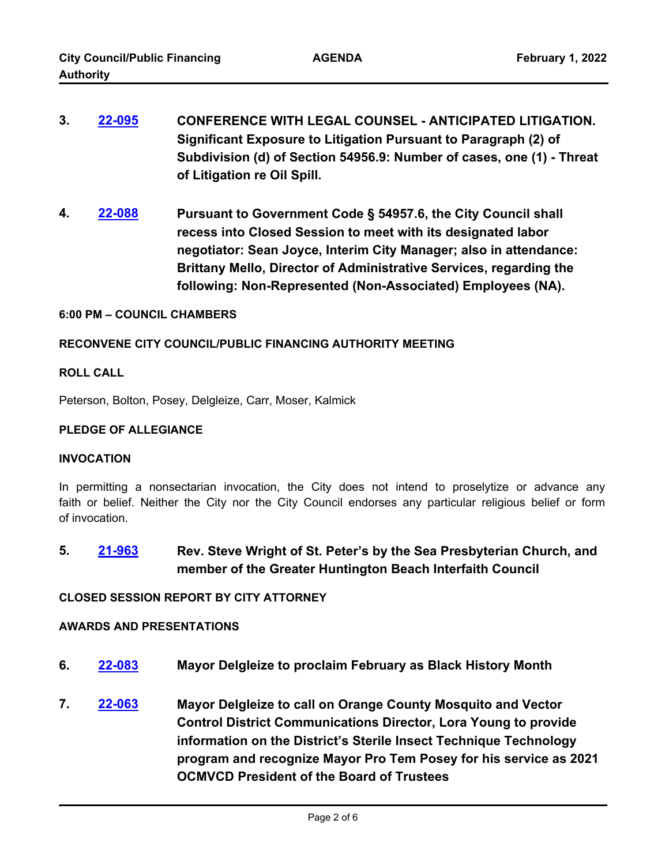- **3. [22-095](http://huntingtonbeach.legistar.com/gateway.aspx?m=l&id=/matter.aspx?key=5207) CONFERENCE WITH LEGAL COUNSEL ANTICIPATED LITIGATION. Significant Exposure to Litigation Pursuant to Paragraph (2) of Subdivision (d) of Section 54956.9: Number of cases, one (1) - Threat of Litigation re Oil Spill.**
- **4. [22-088](http://huntingtonbeach.legistar.com/gateway.aspx?m=l&id=/matter.aspx?key=5200) Pursuant to Government Code § 54957.6, the City Council shall recess into Closed Session to meet with its designated labor negotiator: Sean Joyce, Interim City Manager; also in attendance: Brittany Mello, Director of Administrative Services, regarding the following: Non-Represented (Non-Associated) Employees (NA).**

#### **6:00 PM – COUNCIL CHAMBERS**

#### **RECONVENE CITY COUNCIL/PUBLIC FINANCING AUTHORITY MEETING**

#### **ROLL CALL**

Peterson, Bolton, Posey, Delgleize, Carr, Moser, Kalmick

#### **PLEDGE OF ALLEGIANCE**

#### **INVOCATION**

In permitting a nonsectarian invocation, the City does not intend to proselytize or advance any faith or belief. Neither the City nor the City Council endorses any particular religious belief or form of invocation.

**5. [21-963](http://huntingtonbeach.legistar.com/gateway.aspx?m=l&id=/matter.aspx?key=5055) Rev. Steve Wright of St. Peter's by the Sea Presbyterian Church, and member of the Greater Huntington Beach Interfaith Council**

#### **CLOSED SESSION REPORT BY CITY ATTORNEY**

#### **AWARDS AND PRESENTATIONS**

- **6. [22-083](http://huntingtonbeach.legistar.com/gateway.aspx?m=l&id=/matter.aspx?key=5195) Mayor Delgleize to proclaim February as Black History Month**
- **7. [22-063](http://huntingtonbeach.legistar.com/gateway.aspx?m=l&id=/matter.aspx?key=5175) Mayor Delgleize to call on Orange County Mosquito and Vector Control District Communications Director, Lora Young to provide information on the District's Sterile Insect Technique Technology program and recognize Mayor Pro Tem Posey for his service as 2021 OCMVCD President of the Board of Trustees**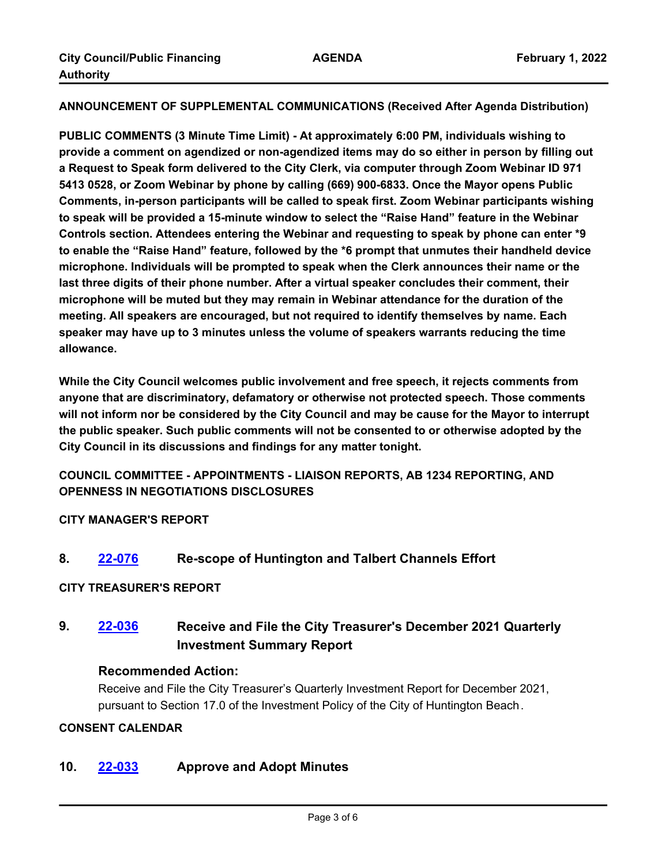**ANNOUNCEMENT OF SUPPLEMENTAL COMMUNICATIONS (Received After Agenda Distribution)**

**PUBLIC COMMENTS (3 Minute Time Limit) - At approximately 6:00 PM, individuals wishing to provide a comment on agendized or non-agendized items may do so either in person by filling out a Request to Speak form delivered to the City Clerk, via computer through Zoom Webinar ID 971 5413 0528, or Zoom Webinar by phone by calling (669) 900-6833. Once the Mayor opens Public Comments, in-person participants will be called to speak first. Zoom Webinar participants wishing to speak will be provided a 15-minute window to select the "Raise Hand" feature in the Webinar Controls section. Attendees entering the Webinar and requesting to speak by phone can enter \*9 to enable the "Raise Hand" feature, followed by the \*6 prompt that unmutes their handheld device microphone. Individuals will be prompted to speak when the Clerk announces their name or the last three digits of their phone number. After a virtual speaker concludes their comment, their microphone will be muted but they may remain in Webinar attendance for the duration of the meeting. All speakers are encouraged, but not required to identify themselves by name. Each speaker may have up to 3 minutes unless the volume of speakers warrants reducing the time allowance.**

**While the City Council welcomes public involvement and free speech, it rejects comments from anyone that are discriminatory, defamatory or otherwise not protected speech. Those comments will not inform nor be considered by the City Council and may be cause for the Mayor to interrupt the public speaker. Such public comments will not be consented to or otherwise adopted by the City Council in its discussions and findings for any matter tonight.**

**COUNCIL COMMITTEE - APPOINTMENTS - LIAISON REPORTS, AB 1234 REPORTING, AND OPENNESS IN NEGOTIATIONS DISCLOSURES**

## **CITY MANAGER'S REPORT**

**8. [22-076](http://huntingtonbeach.legistar.com/gateway.aspx?m=l&id=/matter.aspx?key=5188) Re-scope of Huntington and Talbert Channels Effort**

#### **CITY TREASURER'S REPORT**

## **9. [22-036](http://huntingtonbeach.legistar.com/gateway.aspx?m=l&id=/matter.aspx?key=5148) Receive and File the City Treasurer's December 2021 Quarterly Investment Summary Report**

#### **Recommended Action:**

Receive and File the City Treasurer's Quarterly Investment Report for December 2021, pursuant to Section 17.0 of the Investment Policy of the City of Huntington Beach.

#### **CONSENT CALENDAR**

## **10. [22-033](http://huntingtonbeach.legistar.com/gateway.aspx?m=l&id=/matter.aspx?key=5145) Approve and Adopt Minutes**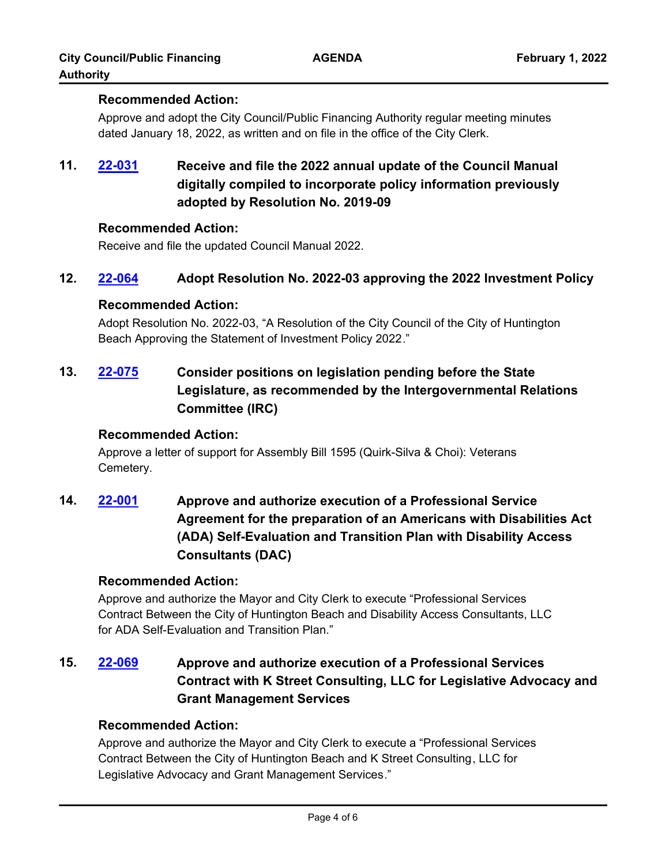## **Recommended Action:**

Approve and adopt the City Council/Public Financing Authority regular meeting minutes dated January 18, 2022, as written and on file in the office of the City Clerk.

# **11. [22-031](http://huntingtonbeach.legistar.com/gateway.aspx?m=l&id=/matter.aspx?key=5143) Receive and file the 2022 annual update of the Council Manual digitally compiled to incorporate policy information previously adopted by Resolution No. 2019-09**

## **Recommended Action:**

Receive and file the updated Council Manual 2022.

## **12. [22-064](http://huntingtonbeach.legistar.com/gateway.aspx?m=l&id=/matter.aspx?key=5176) Adopt Resolution No. 2022-03 approving the 2022 Investment Policy**

## **Recommended Action:**

Adopt Resolution No. 2022-03, "A Resolution of the City Council of the City of Huntington Beach Approving the Statement of Investment Policy 2022."

**13. [22-075](http://huntingtonbeach.legistar.com/gateway.aspx?m=l&id=/matter.aspx?key=5187) Consider positions on legislation pending before the State Legislature, as recommended by the Intergovernmental Relations Committee (IRC)**

## **Recommended Action:**

Approve a letter of support for Assembly Bill 1595 (Quirk-Silva & Choi): Veterans Cemetery.

**14. [22-001](http://huntingtonbeach.legistar.com/gateway.aspx?m=l&id=/matter.aspx?key=5113) Approve and authorize execution of a Professional Service Agreement for the preparation of an Americans with Disabilities Act (ADA) Self-Evaluation and Transition Plan with Disability Access Consultants (DAC)**

## **Recommended Action:**

Approve and authorize the Mayor and City Clerk to execute "Professional Services Contract Between the City of Huntington Beach and Disability Access Consultants, LLC for ADA Self-Evaluation and Transition Plan."

# **15. [22-069](http://huntingtonbeach.legistar.com/gateway.aspx?m=l&id=/matter.aspx?key=5181) Approve and authorize execution of a Professional Services Contract with K Street Consulting, LLC for Legislative Advocacy and Grant Management Services**

## **Recommended Action:**

Approve and authorize the Mayor and City Clerk to execute a "Professional Services Contract Between the City of Huntington Beach and K Street Consulting, LLC for Legislative Advocacy and Grant Management Services."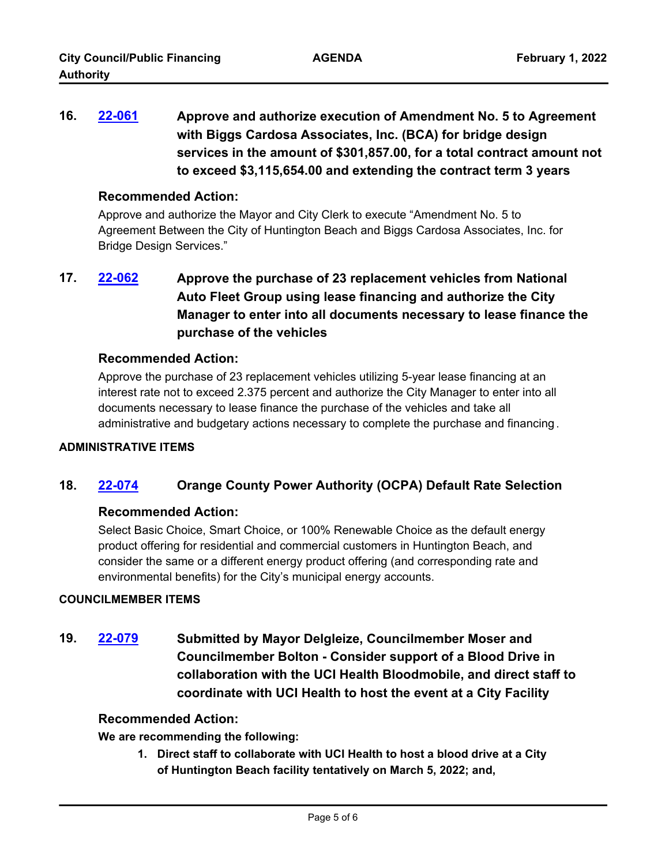**16. [22-061](http://huntingtonbeach.legistar.com/gateway.aspx?m=l&id=/matter.aspx?key=5173) Approve and authorize execution of Amendment No. 5 to Agreement with Biggs Cardosa Associates, Inc. (BCA) for bridge design services in the amount of \$301,857.00, for a total contract amount not to exceed \$3,115,654.00 and extending the contract term 3 years**

#### **Recommended Action:**

Approve and authorize the Mayor and City Clerk to execute "Amendment No. 5 to Agreement Between the City of Huntington Beach and Biggs Cardosa Associates, Inc. for Bridge Design Services."

# **17. [22-062](http://huntingtonbeach.legistar.com/gateway.aspx?m=l&id=/matter.aspx?key=5174) Approve the purchase of 23 replacement vehicles from National Auto Fleet Group using lease financing and authorize the City Manager to enter into all documents necessary to lease finance the purchase of the vehicles**

## **Recommended Action:**

Approve the purchase of 23 replacement vehicles utilizing 5-year lease financing at an interest rate not to exceed 2.375 percent and authorize the City Manager to enter into all documents necessary to lease finance the purchase of the vehicles and take all administrative and budgetary actions necessary to complete the purchase and financing .

#### **ADMINISTRATIVE ITEMS**

## **18. [22-074](http://huntingtonbeach.legistar.com/gateway.aspx?m=l&id=/matter.aspx?key=5186) Orange County Power Authority (OCPA) Default Rate Selection**

## **Recommended Action:**

Select Basic Choice, Smart Choice, or 100% Renewable Choice as the default energy product offering for residential and commercial customers in Huntington Beach, and consider the same or a different energy product offering (and corresponding rate and environmental benefits) for the City's municipal energy accounts.

#### **COUNCILMEMBER ITEMS**

**19. [22-079](http://huntingtonbeach.legistar.com/gateway.aspx?m=l&id=/matter.aspx?key=5191) Submitted by Mayor Delgleize, Councilmember Moser and Councilmember Bolton - Consider support of a Blood Drive in collaboration with the UCI Health Bloodmobile, and direct staff to coordinate with UCI Health to host the event at a City Facility**

## **Recommended Action:**

**We are recommending the following:**

**1. Direct staff to collaborate with UCI Health to host a blood drive at a City of Huntington Beach facility tentatively on March 5, 2022; and,**